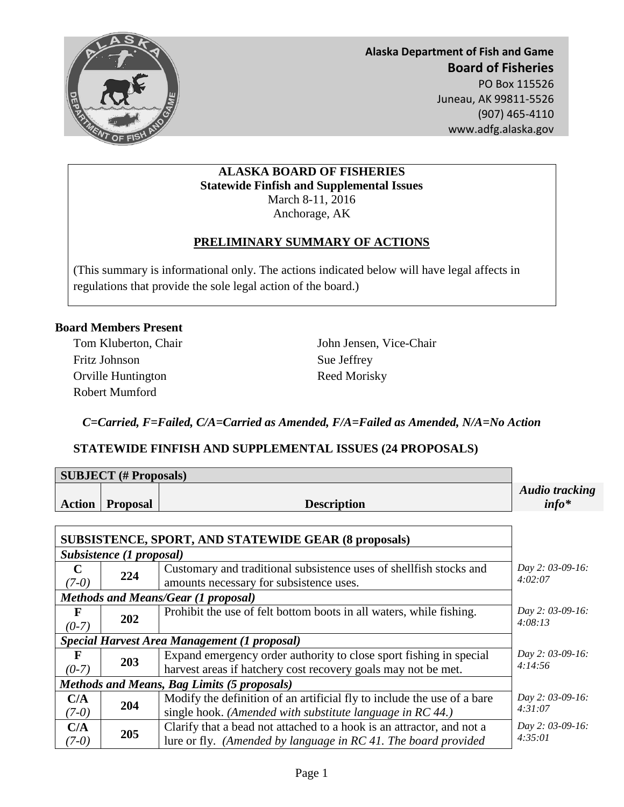

**Alaska Department of Fish and Game Board of Fisheries**  PO Box 115526 Juneau, AK 99811-5526 (907) 465-4110 www.adfg.alaska.gov

### **ALASKA BOARD OF FISHERIES Statewide Finfish and Supplemental Issues** March 8-11, 2016 Anchorage, AK

# **PRELIMINARY SUMMARY OF ACTIONS**

(This summary is informational only. The actions indicated below will have legal affects in regulations that provide the sole legal action of the board.)

### **Board Members Present**

Fritz Johnson Sue Jeffrey Orville Huntington Reed Morisky Robert Mumford

Tom Kluberton, Chair John Jensen, Vice-Chair

*C=Carried, F=Failed, C/A=Carried as Amended, F/A=Failed as Amended, N/A=No Action*

### **STATEWIDE FINFISH AND SUPPLEMENTAL ISSUES (24 PROPOSALS)**

| <b>SUBJECT</b> (# Proposals)                                |                 |                                                                                                                                         |                                   |  |  |  |
|-------------------------------------------------------------|-----------------|-----------------------------------------------------------------------------------------------------------------------------------------|-----------------------------------|--|--|--|
| <b>Action</b>                                               | <b>Proposal</b> | <b>Description</b>                                                                                                                      | <b>Audio tracking</b><br>$info^*$ |  |  |  |
| <b>SUBSISTENCE, SPORT, AND STATEWIDE GEAR (8 proposals)</b> |                 |                                                                                                                                         |                                   |  |  |  |
| Subsistence (1 proposal)                                    |                 |                                                                                                                                         |                                   |  |  |  |
| $\mathbf C$<br>$(7-0)$                                      | 224             | Customary and traditional subsistence uses of shell fish stocks and<br>amounts necessary for subsistence uses.                          | Day 2: 03-09-16:<br>4:02:07       |  |  |  |
| <b>Methods and Means/Gear (1 proposal)</b>                  |                 |                                                                                                                                         |                                   |  |  |  |
| F<br>$(0-7)$                                                | 202             | Prohibit the use of felt bottom boots in all waters, while fishing.                                                                     | Day 2: 03-09-16:<br>4:08:13       |  |  |  |
| <b>Special Harvest Area Management (1 proposal)</b>         |                 |                                                                                                                                         |                                   |  |  |  |
| F                                                           | 203             | Expand emergency order authority to close sport fishing in special                                                                      | Day 2: 03-09-16:                  |  |  |  |
| $(0-7)$                                                     |                 | harvest areas if hatchery cost recovery goals may not be met.                                                                           | 4:14:56                           |  |  |  |
| <b>Methods and Means, Bag Limits (5 proposals)</b>          |                 |                                                                                                                                         |                                   |  |  |  |
| C/A<br>$(7-0)$                                              | 204             | Modify the definition of an artificial fly to include the use of a bare<br>single hook. (Amended with substitute language in RC 44.)    | Day 2: 03-09-16:<br>4:31:07       |  |  |  |
| C/A<br>$(7-0)$                                              | 205             | Clarify that a bead not attached to a hook is an attractor, and not a<br>lure or fly. (Amended by language in RC 41. The board provided | Day 2: 03-09-16:<br>4:35:01       |  |  |  |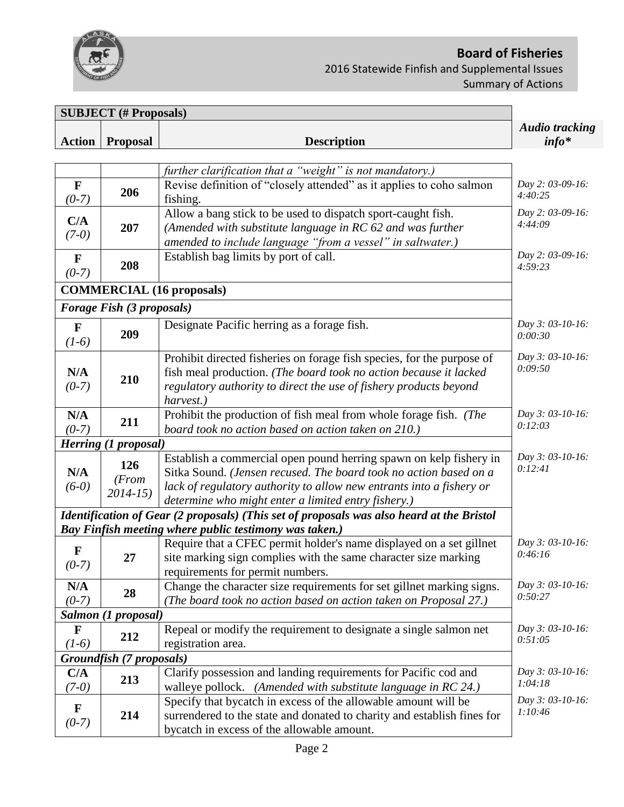

# **Board of Fisheries**  2016 Statewide Finfish and Supplemental Issues Summary of Actions

| <b>SUBJECT</b> (# Proposals) |                              |                                                                                                                                                                                                                                                                        |                                  |
|------------------------------|------------------------------|------------------------------------------------------------------------------------------------------------------------------------------------------------------------------------------------------------------------------------------------------------------------|----------------------------------|
| <b>Action</b>                | <b>Proposal</b>              | <b>Description</b>                                                                                                                                                                                                                                                     | <b>Audio tracking</b><br>$info*$ |
|                              |                              |                                                                                                                                                                                                                                                                        |                                  |
|                              |                              | further clarification that a "weight" is not mandatory.)                                                                                                                                                                                                               |                                  |
| $\mathbf{F}$<br>$(0-7)$      | 206                          | Revise definition of "closely attended" as it applies to coho salmon<br>fishing.                                                                                                                                                                                       | Day 2: 03-09-16:<br>4:40:25      |
| C/A<br>$(7-0)$               | 207                          | Allow a bang stick to be used to dispatch sport-caught fish.<br>(Amended with substitute language in RC 62 and was further<br>amended to include language "from a vessel" in saltwater.)                                                                               | Day 2: 03-09-16:<br>4:44:09      |
| $\mathbf{F}$<br>$(0-7)$      | 208                          | Establish bag limits by port of call.                                                                                                                                                                                                                                  | Day 2: 03-09-16:<br>4:59:23      |
|                              |                              | <b>COMMERCIAL (16 proposals)</b>                                                                                                                                                                                                                                       |                                  |
|                              | Forage Fish (3 proposals)    |                                                                                                                                                                                                                                                                        |                                  |
| $\mathbf{F}$<br>$(1-6)$      | 209                          | Designate Pacific herring as a forage fish.                                                                                                                                                                                                                            | Day 3: 03-10-16:<br>0:00:30      |
| N/A<br>$(0-7)$               | 210                          | Prohibit directed fisheries on forage fish species, for the purpose of<br>fish meal production. (The board took no action because it lacked<br>regulatory authority to direct the use of fishery products beyond<br>harvest.)                                          | Day 3: 03-10-16:<br>0:09:50      |
| N/A<br>$(0-7)$               | 211                          | Prohibit the production of fish meal from whole forage fish. (The<br>board took no action based on action taken on 210.)                                                                                                                                               | Day 3: 03-10-16:<br>0:12:03      |
|                              | <b>Herring (1 proposal)</b>  |                                                                                                                                                                                                                                                                        |                                  |
| N/A<br>$(6-0)$               | 126<br>(From)<br>$2014 - 15$ | Establish a commercial open pound herring spawn on kelp fishery in<br>Sitka Sound. (Jensen recused. The board took no action based on a<br>lack of regulatory authority to allow new entrants into a fishery or<br>determine who might enter a limited entry fishery.) | Day 3: 03-10-16:<br>0:12:41      |
|                              |                              | Identification of Gear (2 proposals) (This set of proposals was also heard at the Bristol                                                                                                                                                                              |                                  |
|                              |                              | Bay Finfish meeting where public testimony was taken.)                                                                                                                                                                                                                 |                                  |
| F<br>$(0-7)$                 | 27                           | Require that a CFEC permit holder's name displayed on a set gillnet<br>site marking sign complies with the same character size marking<br>requirements for permit numbers.                                                                                             | Day 3: 03-10-16:<br>0:46:16      |
| N/A<br>$(0-7)$               | 28                           | Change the character size requirements for set gillnet marking signs.<br>(The board took no action based on action taken on Proposal 27.)                                                                                                                              | Day 3: 03-10-16:<br>0:50:27      |
|                              | Salmon (1 proposal)          |                                                                                                                                                                                                                                                                        |                                  |
| $\mathbf F$<br>$(1-6)$       | 212                          | Repeal or modify the requirement to designate a single salmon net<br>registration area.                                                                                                                                                                                | Day 3: 03-10-16:<br>0:51:05      |
|                              | Groundfish (7 proposals)     |                                                                                                                                                                                                                                                                        |                                  |
| C/A<br>$(7-0)$               | 213                          | Clarify possession and landing requirements for Pacific cod and<br>walleye pollock. (Amended with substitute language in RC 24.)                                                                                                                                       | Day 3: 03-10-16:<br>1:04:18      |
| $\mathbf F$<br>$(0-7)$       | 214                          | Specify that bycatch in excess of the allowable amount will be<br>surrendered to the state and donated to charity and establish fines for<br>bycatch in excess of the allowable amount.                                                                                | Day 3: 03-10-16:<br>1:10:46      |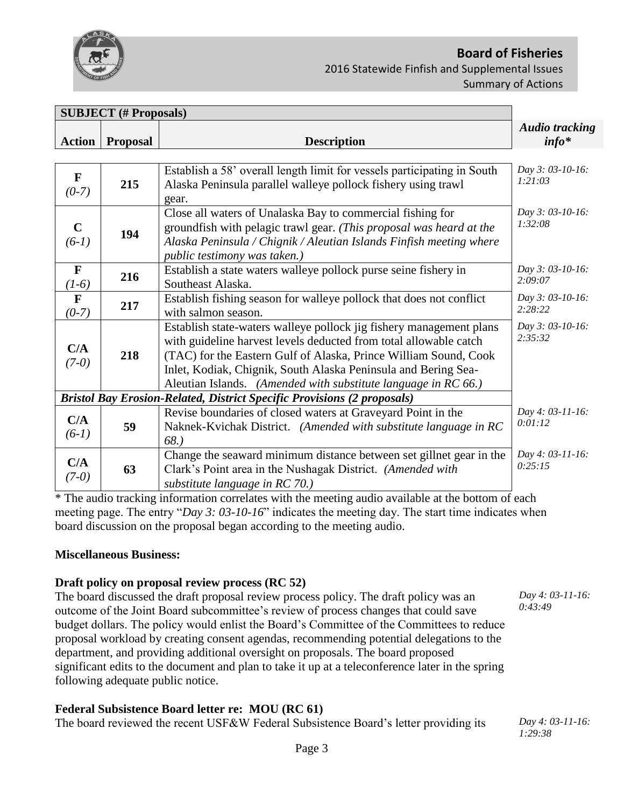

# **Board of Fisheries**  2016 Statewide Finfish and Supplemental Issues Summary of Actions

| <b>SUBJECT</b> (# Proposals)                                                   |                 |                                                                                                                                                                                                                                                                                                                                                  |                                   |  |  |  |
|--------------------------------------------------------------------------------|-----------------|--------------------------------------------------------------------------------------------------------------------------------------------------------------------------------------------------------------------------------------------------------------------------------------------------------------------------------------------------|-----------------------------------|--|--|--|
| <b>Action</b>                                                                  | <b>Proposal</b> | <b>Description</b>                                                                                                                                                                                                                                                                                                                               | <b>Audio tracking</b><br>$info^*$ |  |  |  |
|                                                                                |                 |                                                                                                                                                                                                                                                                                                                                                  |                                   |  |  |  |
| $\mathbf F$<br>$(0-7)$                                                         | 215             | Establish a 58' overall length limit for vessels participating in South<br>Alaska Peninsula parallel walleye pollock fishery using trawl<br>gear.                                                                                                                                                                                                | Day 3: 03-10-16:<br>1:21:03       |  |  |  |
| $\mathbf C$<br>$(6-1)$                                                         | 194             | Close all waters of Unalaska Bay to commercial fishing for<br>groundfish with pelagic trawl gear. (This proposal was heard at the<br>Alaska Peninsula / Chignik / Aleutian Islands Finfish meeting where<br>public testimony was taken.)                                                                                                         | Day 3: 03-10-16:<br>1:32:08       |  |  |  |
| $\mathbf{F}$<br>$(1-6)$                                                        | 216             | Establish a state waters walleye pollock purse seine fishery in<br>Southeast Alaska.                                                                                                                                                                                                                                                             | Day 3: 03-10-16:<br>2:09:07       |  |  |  |
| $\mathbf{F}$<br>$(0-7)$                                                        | 217             | Establish fishing season for walleye pollock that does not conflict<br>with salmon season.                                                                                                                                                                                                                                                       | Day 3: 03-10-16:<br>2:28:22       |  |  |  |
| C/A<br>$(7-0)$                                                                 | 218             | Establish state-waters walleye pollock jig fishery management plans<br>with guideline harvest levels deducted from total allowable catch<br>(TAC) for the Eastern Gulf of Alaska, Prince William Sound, Cook<br>Inlet, Kodiak, Chignik, South Alaska Peninsula and Bering Sea-<br>Aleutian Islands. (Amended with substitute language in RC 66.) | Day 3: 03-10-16:<br>2:35:32       |  |  |  |
| <b>Bristol Bay Erosion-Related, District Specific Provisions (2 proposals)</b> |                 |                                                                                                                                                                                                                                                                                                                                                  |                                   |  |  |  |
| C/A<br>$(6-1)$                                                                 | 59              | Revise boundaries of closed waters at Graveyard Point in the<br>Naknek-Kvichak District. (Amended with substitute language in RC<br>68.)                                                                                                                                                                                                         | Day 4: 03-11-16:<br>0:01:12       |  |  |  |
| C/A<br>$(7-0)$                                                                 | 63              | Change the seaward minimum distance between set gillnet gear in the<br>Clark's Point area in the Nushagak District. (Amended with<br>substitute language in $RC$ 70.)                                                                                                                                                                            | Day 4: 03-11-16:<br>0:25:15       |  |  |  |

\* The audio tracking information correlates with the meeting audio available at the bottom of each meeting page. The entry "*Day 3: 03-10-16*" indicates the meeting day. The start time indicates when board discussion on the proposal began according to the meeting audio.

#### **Miscellaneous Business:**

### **Draft policy on proposal review process (RC 52)**

The board discussed the draft proposal review process policy. The draft policy was an outcome of the Joint Board subcommittee's review of process changes that could save budget dollars. The policy would enlist the Board's Committee of the Committees to reduce proposal workload by creating consent agendas, recommending potential delegations to the department, and providing additional oversight on proposals. The board proposed significant edits to the document and plan to take it up at a teleconference later in the spring following adequate public notice.

### **Federal Subsistence Board letter re: MOU (RC 61)**

The board reviewed the recent USF&W Federal Subsistence Board's letter providing its *Day 4: 03-11-16:* 

*Day 4: 03-11-16: 0:43:49*

*1:29:38*